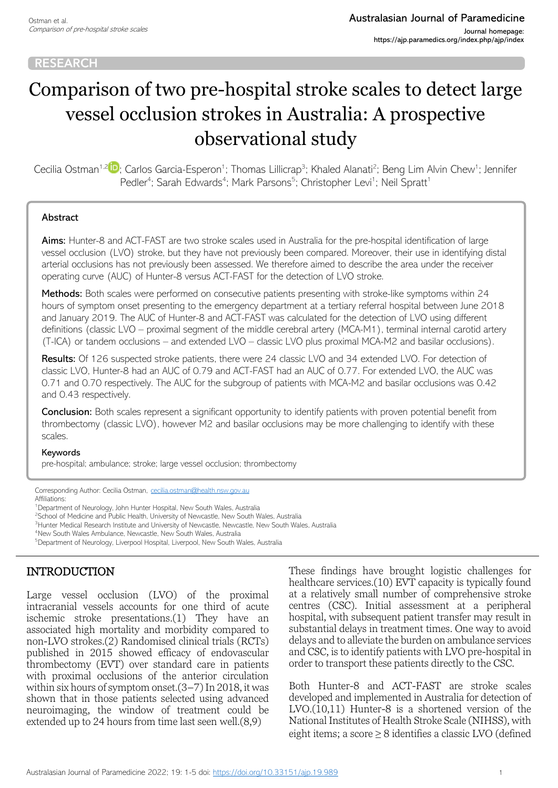# Comparison of two pre-hospital stroke scales to detect large vessel occlusion strokes in Australia: A prospective observational study

Cecilia Ostman<sup>1,2</sup> P[;](https://orcid.org/0000-0002-2062-1897) Carlos Garcia-Esperon<sup>1</sup>; Thomas Lillicrap<sup>3</sup>; Khaled Alanati<sup>2</sup>; Beng Lim Alvin Chew<sup>1</sup>; Jennifer Pedler<sup>4</sup>; Sarah Edwards<sup>4</sup>; Mark Parsons<sup>5</sup>; Christopher Levi<sup>1</sup>; Neil Spratt<sup>1</sup>

#### Abstract

Aims: Hunter-8 and ACT-FAST are two stroke scales used in Australia for the pre-hospital identification of large vessel occlusion (LVO) stroke, but they have not previously been compared. Moreover, their use in identifying distal arterial occlusions has not previously been assessed. We therefore aimed to describe the area under the receiver operating curve (AUC) of Hunter-8 versus ACT-FAST for the detection of LVO stroke.

Methods: Both scales were performed on consecutive patients presenting with stroke-like symptoms within 24 hours of symptom onset presenting to the emergency department at a tertiary referral hospital between June 2018 and January 2019. The AUC of Hunter-8 and ACT-FAST was calculated for the detection of LVO using different definitions (classic LVO – proximal segment of the middle cerebral artery (MCA-M1), terminal internal carotid artery (T-ICA) or tandem occlusions – and extended LVO – classic LVO plus proximal MCA-M2 and basilar occlusions).

Results: Of 126 suspected stroke patients, there were 24 classic LVO and 34 extended LVO. For detection of classic LVO, Hunter-8 had an AUC of 0.79 and ACT-FAST had an AUC of 0.77. For extended LVO, the AUC was 0.71 and 0.70 respectively. The AUC for the subgroup of patients with MCA-M2 and basilar occlusions was 0.42 and 0.43 respectively.

**Conclusion:** Both scales represent a significant opportunity to identify patients with proven potential benefit from thrombectomy (classic LVO), however M2 and basilar occlusions may be more challenging to identify with these scales.

#### Keywords

pre-hospital; ambulance; stroke; large vessel occlusion; thrombectomy

Corresponding Author: Cecilia Ostman, [cecilia.ostman@health.nsw.gov.au](mailto:cecilia.ostman@health.nsw.gov.au) Affiliations:

<sup>1</sup>Department of Neurology, John Hunter Hospital, New South Wales, Australia

<sup>2</sup>School of Medicine and Public Health, University of Newcastle, New South Wales, Australia

<sup>3</sup>Hunter Medical Research Institute and University of Newcastle, Newcastle, New South Wales, Australia

<sup>4</sup>New South Wales Ambulance, Newcastle, New South Wales, Australia

<sup>5</sup>Department of Neurology, Liverpool Hospital, Liverpool, New South Wales, Australia

# INTRODUCTION

Large vessel occlusion (LVO) of the proximal intracranial vessels accounts for one third of acute ischemic stroke presentations.(1) They have an associated high mortality and morbidity compared to non-LVO strokes.(2) Randomised clinical trials (RCTs) published in 2015 showed efficacy of endovascular thrombectomy (EVT) over standard care in patients with proximal occlusions of the anterior circulation within six hours of symptom onset.(3–7) In 2018, it was shown that in those patients selected using advanced neuroimaging, the window of treatment could be extended up to 24 hours from time last seen well.(8,9)

These findings have brought logistic challenges for healthcare services.(10) EVT capacity is typically found at a relatively small number of comprehensive stroke centres (CSC). Initial assessment at a peripheral hospital, with subsequent patient transfer may result in substantial delays in treatment times. One way to avoid delays and to alleviate the burden on ambulance services and CSC, is to identify patients with LVO pre-hospital in order to transport these patients directly to the CSC.

Both Hunter-8 and ACT-FAST are stroke scales developed and implemented in Australia for detection of LVO.(10,11) Hunter-8 is a shortened version of the National Institutes of Health Stroke Scale (NIHSS), with eight items; a score ≥ 8 identifies a classic LVO (defined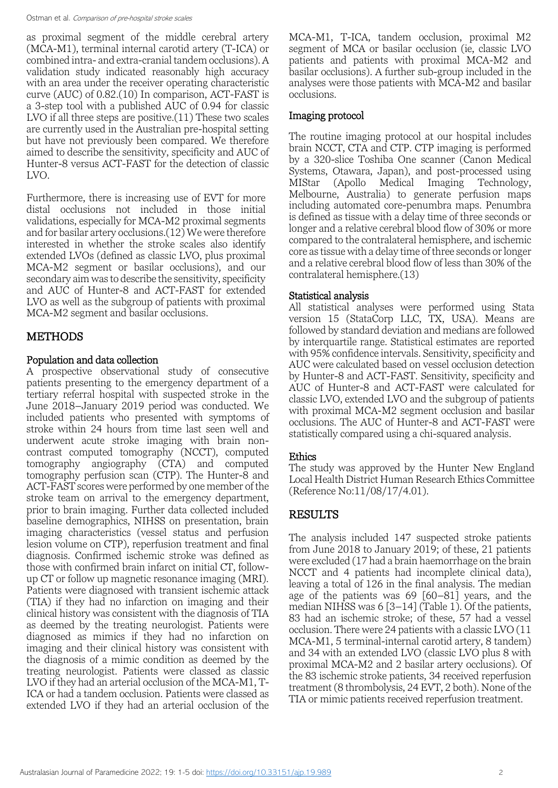as proximal segment of the middle cerebral artery (MCA-M1), terminal internal carotid artery (T-ICA) or combined intra- and extra-cranial tandem occlusions). A validation study indicated reasonably high accuracy with an area under the receiver operating characteristic curve (AUC) of 0.82.(10) In comparison, ACT-FAST is a 3-step tool with a published AUC of 0.94 for classic LVO if all three steps are positive.(11) These two scales are currently used in the Australian pre-hospital setting but have not previously been compared. We therefore aimed to describe the sensitivity, specificity and AUC of Hunter-8 versus ACT-FAST for the detection of classic LVO.

Furthermore, there is increasing use of EVT for more distal occlusions not included in those initial validations, especially for MCA-M2 proximal segments and for basilar artery occlusions.(12) We were therefore interested in whether the stroke scales also identify extended LVOs (defined as classic LVO, plus proximal MCA-M2 segment or basilar occlusions), and our secondary aim was to describe the sensitivity, specificity and AUC of Hunter-8 and ACT-FAST for extended LVO as well as the subgroup of patients with proximal MCA-M2 segment and basilar occlusions.

# METHODS

## Population and data collection

A prospective observational study of consecutive patients presenting to the emergency department of a tertiary referral hospital with suspected stroke in the June 2018–January 2019 period was conducted. We included patients who presented with symptoms of stroke within 24 hours from time last seen well and underwent acute stroke imaging with brain noncontrast computed tomography (NCCT), computed tomography angiography (CTA) and computed tomography perfusion scan (CTP). The Hunter-8 and ACT-FAST scores were performed by one member of the stroke team on arrival to the emergency department, prior to brain imaging. Further data collected included baseline demographics, NIHSS on presentation, brain imaging characteristics (vessel status and perfusion lesion volume on CTP), reperfusion treatment and final diagnosis. Confirmed ischemic stroke was defined as those with confirmed brain infarct on initial CT, followup CT or follow up magnetic resonance imaging (MRI). Patients were diagnosed with transient ischemic attack (TIA) if they had no infarction on imaging and their clinical history was consistent with the diagnosis of TIA as deemed by the treating neurologist. Patients were diagnosed as mimics if they had no infarction on imaging and their clinical history was consistent with the diagnosis of a mimic condition as deemed by the treating neurologist. Patients were classed as classic LVO if they had an arterial occlusion of the MCA-M1, T-ICA or had a tandem occlusion. Patients were classed as extended LVO if they had an arterial occlusion of the

MCA-M1, T-ICA, tandem occlusion, proximal M2 segment of MCA or basilar occlusion (ie, classic LVO patients and patients with proximal MCA-M2 and basilar occlusions). A further sub-group included in the analyses were those patients with MCA-M2 and basilar occlusions.

## Imaging protocol

The routine imaging protocol at our hospital includes brain NCCT, CTA and CTP. CTP imaging is performed by a 320-slice Toshiba One scanner (Canon Medical Systems, Otawara, Japan), and post-processed using MIStar (Apollo Medical Imaging Technology, Melbourne, Australia) to generate perfusion maps including automated core-penumbra maps. Penumbra is defined as tissue with a delay time of three seconds or longer and a relative cerebral blood flow of 30% or more compared to the contralateral hemisphere, and ischemic core as tissue with a delay time of three seconds or longer and a relative cerebral blood flow of less than 30% of the contralateral hemisphere.(13)

## Statistical analysis

All statistical analyses were performed using Stata version 15 (StataCorp LLC, TX, USA). Means are followed by standard deviation and medians are followed by interquartile range. Statistical estimates are reported with 95% confidence intervals. Sensitivity, specificity and AUC were calculated based on vessel occlusion detection by Hunter-8 and ACT-FAST. Sensitivity, specificity and AUC of Hunter-8 and ACT-FAST were calculated for classic LVO, extended LVO and the subgroup of patients with proximal MCA-M2 segment occlusion and basilar occlusions. The AUC of Hunter-8 and ACT-FAST were statistically compared using a chi-squared analysis.

# Ethics

The study was approved by the Hunter New England Local Health District Human Research Ethics Committee (Reference No:11/08/17/4.01).

# RESULTS

The analysis included 147 suspected stroke patients from June 2018 to January 2019; of these, 21 patients were excluded (17 had a brain haemorrhage on the brain NCCT and 4 patients had incomplete clinical data), leaving a total of 126 in the final analysis. The median age of the patients was 69 [60–81] years, and the median NIHSS was 6 [3–14] (Table 1). Of the patients, 83 had an ischemic stroke; of these, 57 had a vessel occlusion. There were 24 patients with a classic LVO (11 MCA-M1, 5 terminal-internal carotid artery, 8 tandem) and 34 with an extended LVO (classic LVO plus 8 with proximal MCA-M2 and 2 basilar artery occlusions). Of the 83 ischemic stroke patients, 34 received reperfusion treatment (8 thrombolysis, 24 EVT, 2 both). None of the TIA or mimic patients received reperfusion treatment.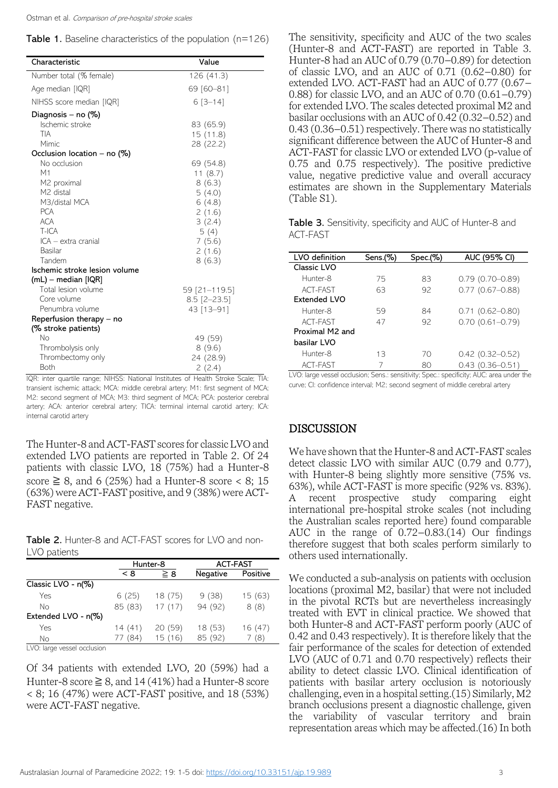|  | Table 1. Baseline characteristics of the population (n=126) |  |  |  |  |
|--|-------------------------------------------------------------|--|--|--|--|
|--|-------------------------------------------------------------|--|--|--|--|

| Characteristic                | Value          |
|-------------------------------|----------------|
| Number total (% female)       | 126(41.3)      |
| Age median [IQR]              | 69 [60-81]     |
| NIHSS score median [IQR]      | $6[3 - 14]$    |
| Diagnosis – no (%)            |                |
| Ischemic stroke               | 83 (65.9)      |
| TIA                           | 15 (11.8)      |
| Mimic                         | 28 (22.2)      |
| Occlusion location - no (%)   |                |
| No occlusion                  | 69 (54.8)      |
| М1                            | 11 $(8.7)$     |
| M <sub>2</sub> proximal       | 8(6.3)         |
| M <sub>2</sub> distal         | 5(4.0)         |
| M3/distal MCA                 | 6(4.8)         |
| <b>PCA</b>                    | 2(1.6)         |
| <b>ACA</b>                    | 3(2.4)         |
| $T$ -ICA                      | 5(4)           |
| ICA – extra cranial           | 7(5.6)         |
| <b>Basilar</b>                | 2(1.6)         |
| Tandem                        | 8(6.3)         |
| Ischemic stroke lesion volume |                |
| (mL) - median [IQR]           |                |
| Total lesion volume           | 59 [21-119.5]  |
| Core volume                   | $8.5$ [2-23.5] |
| Penumbra volume               | 43 [13-91]     |
| Reperfusion therapy – no      |                |
| (% stroke patients)           |                |
| No                            | 49 (59)        |
| Thrombolysis only             | 8(9.6)         |
| Thrombectomy only             | 24 (28.9)      |
| Both                          | 2(2.4)         |

IQR: inter quartile range; NIHSS: National Institutes of Health Stroke Scale; TIA: transient ischemic attack; MCA: middle cerebral artery; M1: first segment of MCA; M2: second segment of MCA; M3: third segment of MCA; PCA: posterior cerebral artery; ACA: anterior cerebral artery; TICA: terminal internal carotid artery; ICA: internal carotid artery

The Hunter-8 and ACT-FAST scores for classic LVO and extended LVO patients are reported in Table 2. Of 24 patients with classic LVO,  $18$  (75%) had a Hunter-8 score  $\geq$  8, and 6 (25%) had a Hunter-8 score < 8; 15 (63%) were ACT-FAST positive, and 9 (38%) were ACT-FAST negative.

|              | Table 2. Hunter-8 and ACT-FAST scores for LVO and non- |  |  |
|--------------|--------------------------------------------------------|--|--|
| LVO patients |                                                        |  |  |

|                      | Hunter-8 |          | <b>ACT-FAST</b> |          |
|----------------------|----------|----------|-----------------|----------|
|                      | < 8      | $\geq 8$ | Negative        | Positive |
| Classic LVO - n(%)   |          |          |                 |          |
| Yes                  | 6(25)    | 18 (75)  | 9(38)           | 15 (63)  |
| No                   | 85 (83)  | 17(17)   | 94 (92)         | 8(8)     |
| Extended LVO - n(%)  |          |          |                 |          |
| Yes                  | 14(41)   | 20 (59)  | 18 (53)         | 16(47)   |
| Nο                   | 77 (84)  | 15(16)   | 85 (92)         | (8)      |
| $\cdots$<br>$\cdots$ |          |          |                 |          |

LVO: large vessel occlusion

Of 34 patients with extended LVO, 20 (59%) had a Hunter-8 score  $\geq 8$ , and 14 (41%) had a Hunter-8 score < 8; 16 (47%) were ACT-FAST positive, and 18 (53%) were ACT-FAST negative.

The sensitivity, specificity and AUC of the two scales (Hunter-8 and ACT-FAST) are reported in Table 3. Hunter-8 had an AUC of 0.79 (0.70–0.89) for detection of classic LVO, and an AUC of 0.71 (0.62–0.80) for extended LVO. ACT-FAST had an AUC of 0.77 (0.67– 0.88) for classic LVO, and an AUC of 0.70 (0.61–0.79) for extended LVO. The scales detected proximal M2 and basilar occlusions with an AUC of 0.42 (0.32–0.52) and 0.43 (0.36–0.51) respectively. There was no statistically significant difference between the AUC of Hunter-8 and ACT-FAST for classic LVO or extended LVO (p-value of 0.75 and 0.75 respectively). The positive predictive value, negative predictive value and overall accuracy estimates are shown in the Supplementary Materials (Table S1).

Table 3. Sensitivity, specificity and AUC of Hunter-8 and ACT-FAST

| LVO definition      | Sens. $(\%)$ | Spec.(%) | AUC (95% CI)        |
|---------------------|--------------|----------|---------------------|
| Classic LVO         |              |          |                     |
| Hunter-8            | 75           | 83       | $0.79(0.70 - 0.89)$ |
| ACT-FAST            | 63           | 92       | $0.77(0.67 - 0.88)$ |
| <b>Extended LVO</b> |              |          |                     |
| Hunter-8            | 59           | 84       | $0.71(0.62 - 0.80)$ |
| ACT-FAST            | 47           | 92       | $0.70(0.61 - 0.79)$ |
| Proximal M2 and     |              |          |                     |
| basilar LVO         |              |          |                     |
| Hunter-8            | 13           | 70       | $0.42$ (0.32-0.52)  |
| ACT-FAST            | 7            | 80       | $0.43(0.36 - 0.51)$ |

LVO: large vessel occlusion; Sens.: sensitivity; Spec.: specificity; AUC: area under the curve; CI: confidence interval; M2; second segment of middle cerebral artery

## DISCUSSION

We have shown that the Hunter-8 and ACT-FAST scales detect classic LVO with similar AUC (0.79 and 0.77), with Hunter-8 being slightly more sensitive (75% vs. 63%), while ACT-FAST is more specific (92% vs. 83%). A recent prospective study comparing eight international pre-hospital stroke scales (not including the Australian scales reported here) found comparable AUC in the range of 0.72–0.83.(14) Our findings therefore suggest that both scales perform similarly to others used internationally.

We conducted a sub-analysis on patients with occlusion locations (proximal M2, basilar) that were not included in the pivotal RCTs but are nevertheless increasingly treated with EVT in clinical practice. We showed that both Hunter-8 and ACT-FAST perform poorly (AUC of 0.42 and 0.43 respectively). It is therefore likely that the fair performance of the scales for detection of extended LVO (AUC of 0.71 and 0.70 respectively) reflects their ability to detect classic LVO. Clinical identification of patients with basilar artery occlusion is notoriously challenging, even in a hospital setting.(15) Similarly, M2 branch occlusions present a diagnostic challenge, given the variability of vascular territory and brain representation areas which may be affected.(16) In both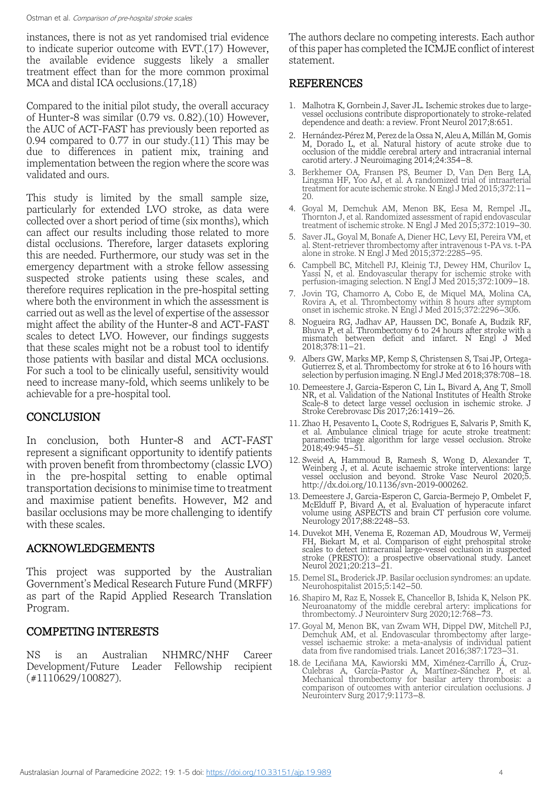instances, there is not as yet randomised trial evidence to indicate superior outcome with EVT.(17) However, the available evidence suggests likely a smaller treatment effect than for the more common proximal MCA and distal ICA occlusions.(17,18)

Compared to the initial pilot study, the overall accuracy of Hunter-8 was similar (0.79 vs. 0.82).(10) However, the AUC of ACT-FAST has previously been reported as 0.94 compared to 0.77 in our study.(11) This may be due to differences in patient mix, training and implementation between the region where the score was validated and ours.

This study is limited by the small sample size, particularly for extended LVO stroke, as data were collected over a short period of time (six months), which can affect our results including those related to more distal occlusions. Therefore, larger datasets exploring this are needed. Furthermore, our study was set in the emergency department with a stroke fellow assessing suspected stroke patients using these scales, and therefore requires replication in the pre-hospital setting where both the environment in which the assessment is carried out as well as the level of expertise of the assessor might affect the ability of the Hunter-8 and ACT-FAST scales to detect LVO. However, our findings suggests that these scales might not be a robust tool to identify those patients with basilar and distal MCA occlusions. For such a tool to be clinically useful, sensitivity would need to increase many-fold, which seems unlikely to be achievable for a pre-hospital tool.

#### **CONCLUSION**

In conclusion, both Hunter-8 and ACT-FAST represent a significant opportunity to identify patients with proven benefit from thrombectomy (classic LVO) in the pre-hospital setting to enable optimal transportation decisions to minimise time to treatment and maximise patient benefits. However, M2 and basilar occlusions may be more challenging to identify with these scales.

#### ACKNOWLEDGEMENTS

This project was supported by the Australian Government's Medical Research Future Fund (MRFF) as part of the Rapid Applied Research Translation Program.

#### COMPETING INTERESTS

NS is an Australian NHMRC/NHF Career Development/Future Leader Fellowship recipient (#1110629/100827).

The authors declare no competing interests. Each author of this paper has completed the ICMJE conflict of interest statement.

# REFERENCES

- 1. Malhotra K, Gornbein J, Saver JL. Ischemic strokes due to largevessel occlusions contribute disproportionately to stroke-related dependence and death: a review. Front Neurol 2017;8:651.
- 2. Hernández‐Pérez M, Perez de la Ossa N, Aleu A, Millán M, Gomis M, Dorado L, et al. Natural history of acute stroke due to occlusion of the middle cerebral artery and intracranial internal carotid artery. J Neuroimaging 2014;24:354–8.
- 3. Berkhemer OA, Fransen PS, Beumer D, Van Den Berg LA, Lingsma HF, Yoo AJ, et al. A randomized trial of intraarterial treatment for acute ischemic stroke. N Engl J Med 2015;372:11–  $20$
- 4. Goyal M, Demchuk AM, Menon BK, Eesa M, Rempel JL, Thornton J, et al. Randomized assessment of rapid endovascular treatment of ischemic stroke. N Engl J Med 2015;372:1019–30.
- 5. Saver JL, Goyal M, Bonafe A, Diener HC, Levy EI, Pereira VM, et al. Stent-retriever thrombectomy after intravenous t-PA vs. t-PA alone in stroke. N Engl J Med 2015;372:2285–95.
- 6. Campbell BC, Mitchell PJ, Kleinig TJ, Dewey HM, Churilov L, Yassi N, et al. Endovascular therapy for ischemic stroke with perfusion-imaging selection. N Engl J Med 2015;372:1009–18.
- 7. Jovin TG, Chamorro A, Cobo E, de Miquel MA, Molina CA, Rovira A, et al. Thrombectomy within 8 hours after symptom onset in ischemic stroke. N Engl J Med 2015;372:2296–306.
- 8. Nogueira RG, Jadhav AP, Haussen DC, Bonafe A, Budzik RF, Bhuva P, et al. Thrombectomy 6 to 24 hours after stroke with a mismatch between deficit and infarct. N Engl J Med 2018;378:11–21.
- 9. Albers GW, Marks MP, Kemp S, Christensen S, Tsai JP, Ortega-Gutierrez S, et al. Thrombectomy for stroke at 6 to 16 hours with selection by perfusion imaging. N Engl J Med 2018;378:708–18.
- 10. Demeestere J, Garcia-Esperon C, Lin L, Bivard A, Ang T, Smoll NR, et al. Validation of the National Institutes of Health Stroke Scale-8 to detect large vessel occlusion in ischemic stroke. J Stroke Cerebrovasc Dis 2017;26:1419–26.
- 11. Zhao H, Pesavento L, Coote S, Rodrigues E, Salvaris P, Smith K, et al. Ambulance clinical triage for acute stroke treatment: paramedic triage algorithm for large vessel occlusion. Stroke 2018;49:945–51.
- 12. Sweid A, Hammoud B, Ramesh S, Wong D, Alexander T, Weinberg J, et al. Acute ischaemic stroke interventions: large vessel occlusion and beyond. Stroke Vasc Neurol 2020;5. [http://dx.doi.org/10.1136/svn-2019-000262.](http://dx.doi.org/10.1136/svn-2019-000262)
- 13. Demeestere J, Garcia-Esperon C, Garcia-Bermejo P, Ombelet F, McElduff P, Bivard A, et al. Evaluation of hyperacute infarct volume using ASPECTS and brain CT perfusion core volume. Neurology 2017;88:2248-53.
- 14. Duvekot MH, Venema E, Rozeman AD, Moudrous W, Vermeij FH, Biekart M, et al. Comparison of eight prehospital stroke scales to detect intracranial large-vessel occlusion in suspected stroke (PRESTO): a prospective observational study. Lancet Neurol 2021;20:213–21.
- 15. Demel SL, Broderick JP. Basilar occlusion syndromes: an update. Neurohospitalist 2015;5:142–50.
- 16. Shapiro M, Raz E, Nossek E, Chancellor B, Ishida K, Nelson PK. Neuroanatomy of the middle cerebral artery: implications for thrombectomy. J Neurointerv Surg 2020;12:768–73.
- 17. Goyal M, Menon BK, van Zwam WH, Dippel DW, Mitchell PJ, Demchuk AM, et al. Endovascular thrombectomy after largevessel ischaemic stroke: a meta-analysis of individual patient data from five randomised trials. Lancet 2016;387:1723–31.
- 18. de Leciñana MA, Kawiorski MM, Ximénez-Carrillo Á, Cruz-Culebras A, García-Pastor A, Martínez-Sánchez P, et al. Mechanical thrombectomy for basilar artery thrombosis: a comparison of outcomes with anterior circulation occlusions. J Neurointerv Surg 2017;9:1173–8.